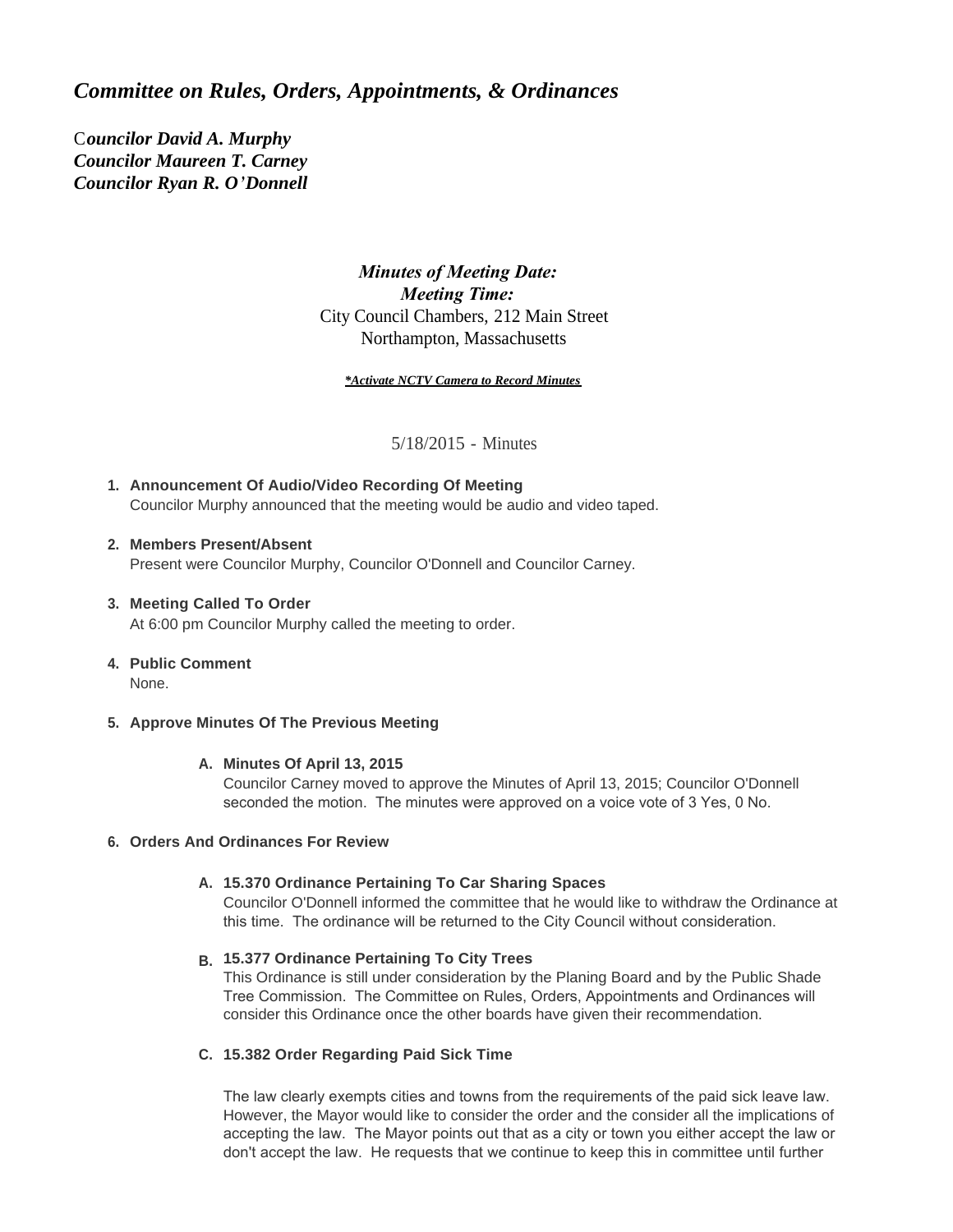# *Committee on Rules, Orders, Appointments, & Ordinances*

C*ouncilor David A. Murphy Councilor Maureen T. Carney Councilor Ryan R. O'Donnell*

# *Minutes of Meeting Date: Meeting Time:*  City Council Chambers, 212 Main Street Northampton, Massachusetts

*\*Activate NCTV Camera to Record Minutes*

5/18/2015 - Minutes

**Announcement Of Audio/Video Recording Of Meeting 1.** Councilor Murphy announced that the meeting would be audio and video taped.

### **Members Present/Absent 2.**

Present were Councilor Murphy, Councilor O'Donnell and Councilor Carney.

# **Meeting Called To Order 3.**

At 6:00 pm Councilor Murphy called the meeting to order.

### **Public Comment 4.**

None.

### **Approve Minutes Of The Previous Meeting 5.**

#### **Minutes Of April 13, 2015 A.**

Councilor Carney moved to approve the Minutes of April 13, 2015; Councilor O'Donnell seconded the motion. The minutes were approved on a voice vote of 3 Yes, 0 No.

### **Orders And Ordinances For Review 6.**

### **15.370 Ordinance Pertaining To Car Sharing Spaces A.**

Councilor O'Donnell informed the committee that he would like to withdraw the Ordinance at this time. The ordinance will be returned to the City Council without consideration.

# **15.377 Ordinance Pertaining To City Trees B.**

This Ordinance is still under consideration by the Planing Board and by the Public Shade Tree Commission. The Committee on Rules, Orders, Appointments and Ordinances will consider this Ordinance once the other boards have given their recommendation.

### **15.382 Order Regarding Paid Sick Time C.**

The law clearly exempts cities and towns from the requirements of the paid sick leave law. However, the Mayor would like to consider the order and the consider all the implications of accepting the law. The Mayor points out that as a city or town you either accept the law or don't accept the law. He requests that we continue to keep this in committee until further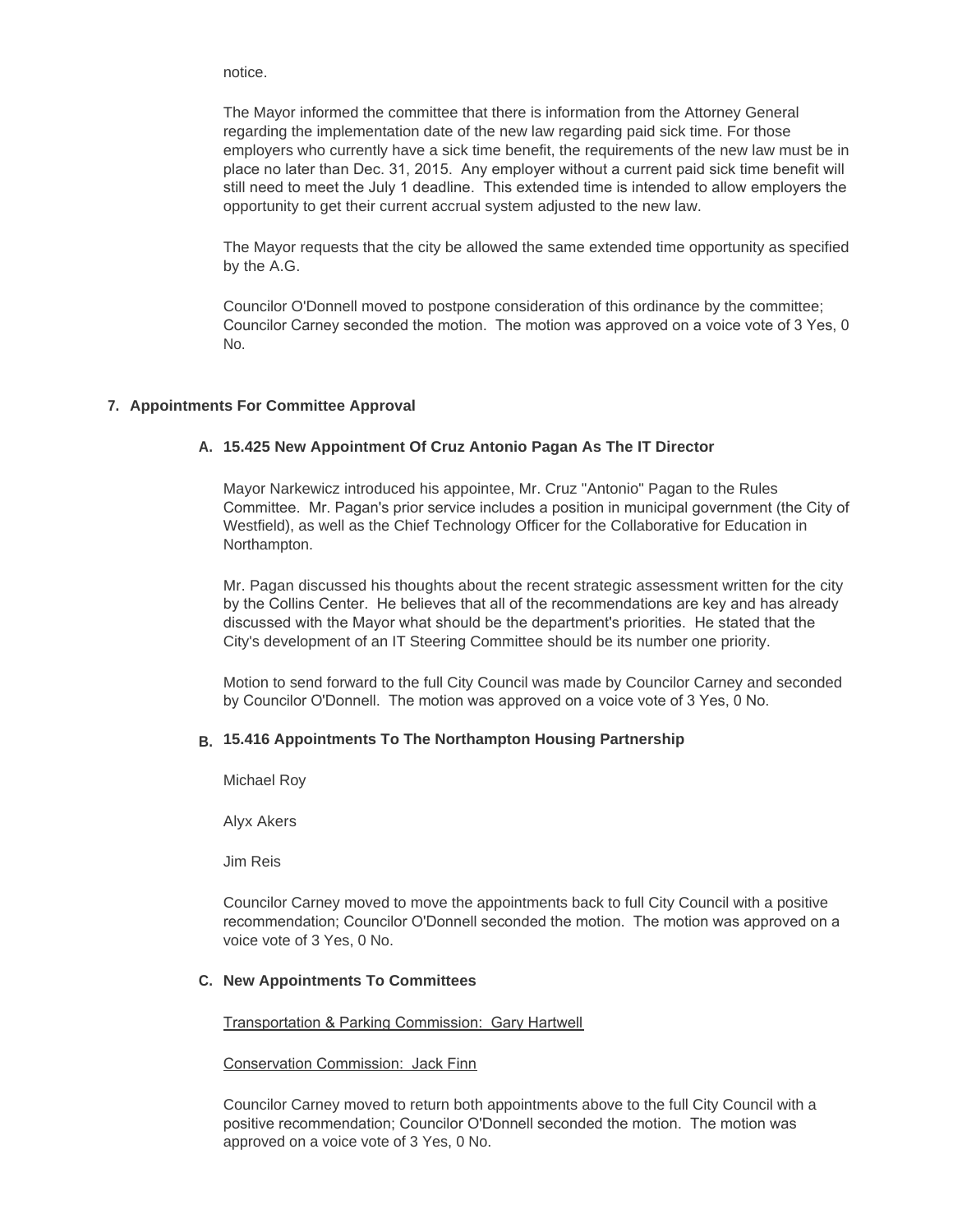notice.

The Mayor informed the committee that there is information from the Attorney General regarding the implementation date of the new law regarding paid sick time. For those employers who currently have a sick time benefit, the requirements of the new law must be in place no later than Dec. 31, 2015. Any employer without a current paid sick time benefit will still need to meet the July 1 deadline. This extended time is intended to allow employers the opportunity to get their current accrual system adjusted to the new law.

The Mayor requests that the city be allowed the same extended time opportunity as specified by the A.G.

Councilor O'Donnell moved to postpone consideration of this ordinance by the committee; Councilor Carney seconded the motion. The motion was approved on a voice vote of 3 Yes, 0 No.

## **Appointments For Committee Approval 7.**

## **15.425 New Appointment Of Cruz Antonio Pagan As The IT Director A.**

Mayor Narkewicz introduced his appointee, Mr. Cruz "Antonio" Pagan to the Rules Committee. Mr. Pagan's prior service includes a position in municipal government (the City of Westfield), as well as the Chief Technology Officer for the Collaborative for Education in Northampton.

Mr. Pagan discussed his thoughts about the recent strategic assessment written for the city by the Collins Center. He believes that all of the recommendations are key and has already discussed with the Mayor what should be the department's priorities. He stated that the City's development of an IT Steering Committee should be its number one priority.

Motion to send forward to the full City Council was made by Councilor Carney and seconded by Councilor O'Donnell. The motion was approved on a voice vote of 3 Yes, 0 No.

# **15.416 Appointments To The Northampton Housing Partnership B.**

Michael Roy

Alyx Akers

Jim Reis

Councilor Carney moved to move the appointments back to full City Council with a positive recommendation; Councilor O'Donnell seconded the motion. The motion was approved on a voice vote of 3 Yes, 0 No.

### **New Appointments To Committees C.**

Transportation & Parking Commission: Gary Hartwell

Conservation Commission: Jack Finn

Councilor Carney moved to return both appointments above to the full City Council with a positive recommendation; Councilor O'Donnell seconded the motion. The motion was approved on a voice vote of 3 Yes, 0 No.